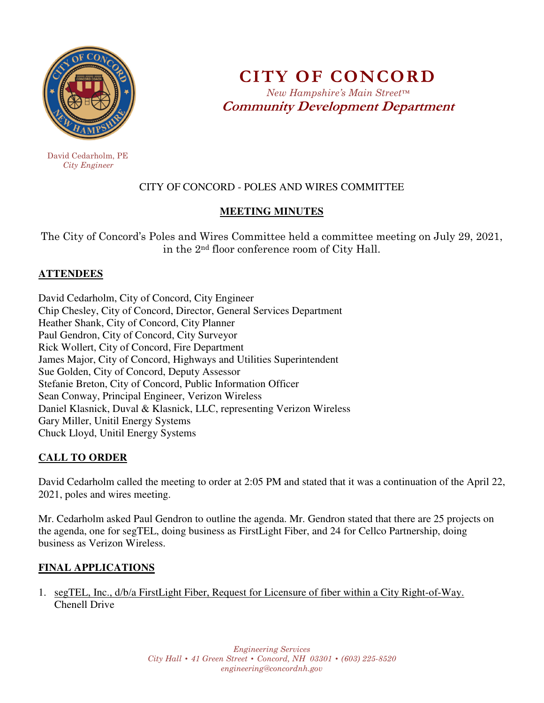

 David Cedarholm, PE  *City Engineer* 

**CITY OF CONCORD**  *New Hampshire's Main Street™* **Community Development Department** 

# CITY OF CONCORD - POLES AND WIRES COMMITTEE

#### **MEETING MINUTES**

The City of Concord's Poles and Wires Committee held a committee meeting on July 29, 2021, in the 2nd floor conference room of City Hall.

### **ATTENDEES**

David Cedarholm, City of Concord, City Engineer Chip Chesley, City of Concord, Director, General Services Department Heather Shank, City of Concord, City Planner Paul Gendron, City of Concord, City Surveyor Rick Wollert, City of Concord, Fire Department James Major, City of Concord, Highways and Utilities Superintendent Sue Golden, City of Concord, Deputy Assessor Stefanie Breton, City of Concord, Public Information Officer Sean Conway, Principal Engineer, Verizon Wireless Daniel Klasnick, Duval & Klasnick, LLC, representing Verizon Wireless Gary Miller, Unitil Energy Systems Chuck Lloyd, Unitil Energy Systems

### **CALL TO ORDER**

David Cedarholm called the meeting to order at 2:05 PM and stated that it was a continuation of the April 22, 2021, poles and wires meeting.

Mr. Cedarholm asked Paul Gendron to outline the agenda. Mr. Gendron stated that there are 25 projects on the agenda, one for segTEL, doing business as FirstLight Fiber, and 24 for Cellco Partnership, doing business as Verizon Wireless.

### **FINAL APPLICATIONS**

1. segTEL, Inc., d/b/a FirstLight Fiber, Request for Licensure of fiber within a City Right-of-Way. Chenell Drive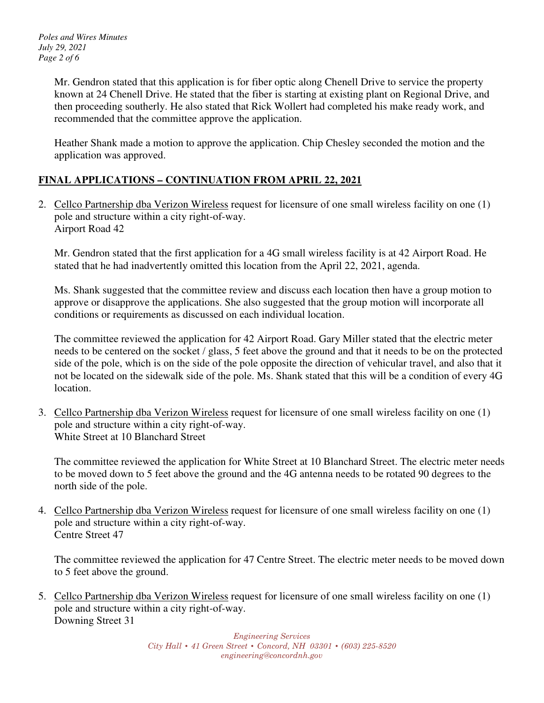*Poles and Wires Minutes July 29, 2021 Page 2 of 6* 

> Mr. Gendron stated that this application is for fiber optic along Chenell Drive to service the property known at 24 Chenell Drive. He stated that the fiber is starting at existing plant on Regional Drive, and then proceeding southerly. He also stated that Rick Wollert had completed his make ready work, and recommended that the committee approve the application.

Heather Shank made a motion to approve the application. Chip Chesley seconded the motion and the application was approved.

## **FINAL APPLICATIONS – CONTINUATION FROM APRIL 22, 2021**

2. Cellco Partnership dba Verizon Wireless request for licensure of one small wireless facility on one (1) pole and structure within a city right-of-way. Airport Road 42

Mr. Gendron stated that the first application for a 4G small wireless facility is at 42 Airport Road. He stated that he had inadvertently omitted this location from the April 22, 2021, agenda.

Ms. Shank suggested that the committee review and discuss each location then have a group motion to approve or disapprove the applications. She also suggested that the group motion will incorporate all conditions or requirements as discussed on each individual location.

The committee reviewed the application for 42 Airport Road. Gary Miller stated that the electric meter needs to be centered on the socket / glass, 5 feet above the ground and that it needs to be on the protected side of the pole, which is on the side of the pole opposite the direction of vehicular travel, and also that it not be located on the sidewalk side of the pole. Ms. Shank stated that this will be a condition of every 4G location.

3. Cellco Partnership dba Verizon Wireless request for licensure of one small wireless facility on one (1) pole and structure within a city right-of-way. White Street at 10 Blanchard Street

The committee reviewed the application for White Street at 10 Blanchard Street. The electric meter needs to be moved down to 5 feet above the ground and the 4G antenna needs to be rotated 90 degrees to the north side of the pole.

4. Cellco Partnership dba Verizon Wireless request for licensure of one small wireless facility on one (1) pole and structure within a city right-of-way. Centre Street 47

The committee reviewed the application for 47 Centre Street. The electric meter needs to be moved down to 5 feet above the ground.

5. Cellco Partnership dba Verizon Wireless request for licensure of one small wireless facility on one (1) pole and structure within a city right-of-way. Downing Street 31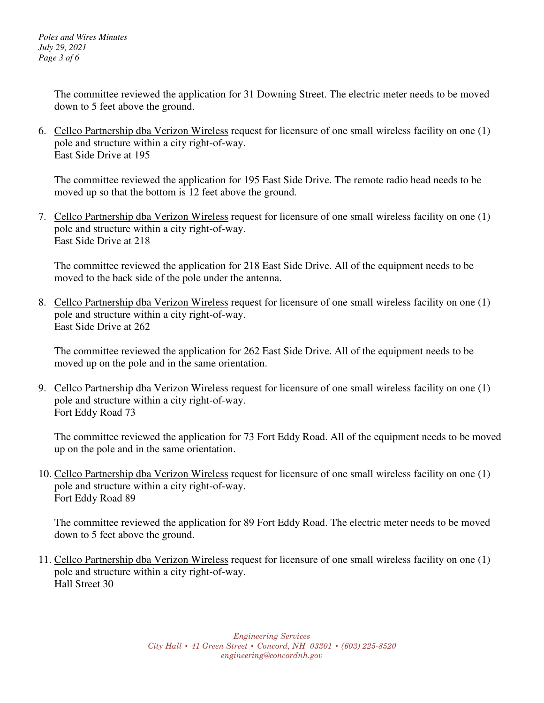*Poles and Wires Minutes July 29, 2021 Page 3 of 6* 

> The committee reviewed the application for 31 Downing Street. The electric meter needs to be moved down to 5 feet above the ground.

6. Cellco Partnership dba Verizon Wireless request for licensure of one small wireless facility on one (1) pole and structure within a city right-of-way. East Side Drive at 195

The committee reviewed the application for 195 East Side Drive. The remote radio head needs to be moved up so that the bottom is 12 feet above the ground.

7. Cellco Partnership dba Verizon Wireless request for licensure of one small wireless facility on one (1) pole and structure within a city right-of-way. East Side Drive at 218

The committee reviewed the application for 218 East Side Drive. All of the equipment needs to be moved to the back side of the pole under the antenna.

8. Cellco Partnership dba Verizon Wireless request for licensure of one small wireless facility on one (1) pole and structure within a city right-of-way. East Side Drive at 262

The committee reviewed the application for 262 East Side Drive. All of the equipment needs to be moved up on the pole and in the same orientation.

9. Cellco Partnership dba Verizon Wireless request for licensure of one small wireless facility on one (1) pole and structure within a city right-of-way. Fort Eddy Road 73

The committee reviewed the application for 73 Fort Eddy Road. All of the equipment needs to be moved up on the pole and in the same orientation.

10. Cellco Partnership dba Verizon Wireless request for licensure of one small wireless facility on one (1) pole and structure within a city right-of-way. Fort Eddy Road 89

The committee reviewed the application for 89 Fort Eddy Road. The electric meter needs to be moved down to 5 feet above the ground.

11. Cellco Partnership dba Verizon Wireless request for licensure of one small wireless facility on one (1) pole and structure within a city right-of-way. Hall Street 30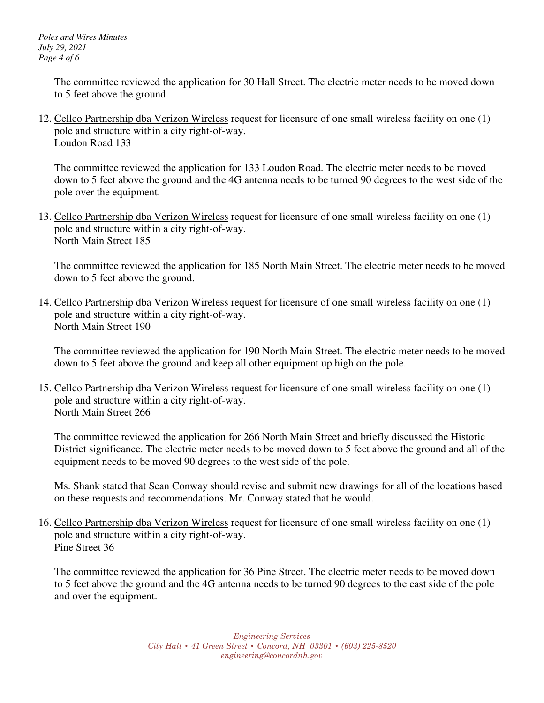*Poles and Wires Minutes July 29, 2021 Page 4 of 6* 

> The committee reviewed the application for 30 Hall Street. The electric meter needs to be moved down to 5 feet above the ground.

12. Cellco Partnership dba Verizon Wireless request for licensure of one small wireless facility on one (1) pole and structure within a city right-of-way. Loudon Road 133

The committee reviewed the application for 133 Loudon Road. The electric meter needs to be moved down to 5 feet above the ground and the 4G antenna needs to be turned 90 degrees to the west side of the pole over the equipment.

13. Cellco Partnership dba Verizon Wireless request for licensure of one small wireless facility on one (1) pole and structure within a city right-of-way. North Main Street 185

The committee reviewed the application for 185 North Main Street. The electric meter needs to be moved down to 5 feet above the ground.

14. Cellco Partnership dba Verizon Wireless request for licensure of one small wireless facility on one (1) pole and structure within a city right-of-way. North Main Street 190

The committee reviewed the application for 190 North Main Street. The electric meter needs to be moved down to 5 feet above the ground and keep all other equipment up high on the pole.

15. Cellco Partnership dba Verizon Wireless request for licensure of one small wireless facility on one (1) pole and structure within a city right-of-way. North Main Street 266

The committee reviewed the application for 266 North Main Street and briefly discussed the Historic District significance. The electric meter needs to be moved down to 5 feet above the ground and all of the equipment needs to be moved 90 degrees to the west side of the pole.

Ms. Shank stated that Sean Conway should revise and submit new drawings for all of the locations based on these requests and recommendations. Mr. Conway stated that he would.

16. Cellco Partnership dba Verizon Wireless request for licensure of one small wireless facility on one (1) pole and structure within a city right-of-way. Pine Street 36

The committee reviewed the application for 36 Pine Street. The electric meter needs to be moved down to 5 feet above the ground and the 4G antenna needs to be turned 90 degrees to the east side of the pole and over the equipment.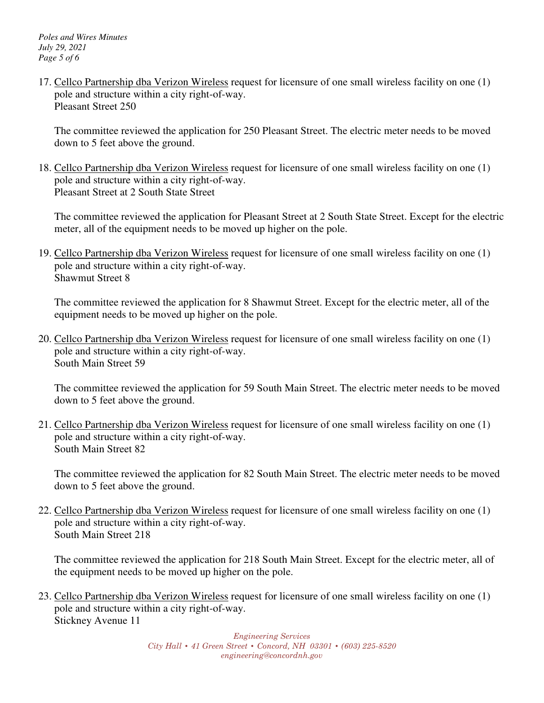17. Cellco Partnership dba Verizon Wireless request for licensure of one small wireless facility on one (1) pole and structure within a city right-of-way. Pleasant Street 250

The committee reviewed the application for 250 Pleasant Street. The electric meter needs to be moved down to 5 feet above the ground.

18. Cellco Partnership dba Verizon Wireless request for licensure of one small wireless facility on one (1) pole and structure within a city right-of-way. Pleasant Street at 2 South State Street

The committee reviewed the application for Pleasant Street at 2 South State Street. Except for the electric meter, all of the equipment needs to be moved up higher on the pole.

19. Cellco Partnership dba Verizon Wireless request for licensure of one small wireless facility on one (1) pole and structure within a city right-of-way. Shawmut Street 8

The committee reviewed the application for 8 Shawmut Street. Except for the electric meter, all of the equipment needs to be moved up higher on the pole.

20. Cellco Partnership dba Verizon Wireless request for licensure of one small wireless facility on one (1) pole and structure within a city right-of-way. South Main Street 59

The committee reviewed the application for 59 South Main Street. The electric meter needs to be moved down to 5 feet above the ground.

21. Cellco Partnership dba Verizon Wireless request for licensure of one small wireless facility on one (1) pole and structure within a city right-of-way. South Main Street 82

The committee reviewed the application for 82 South Main Street. The electric meter needs to be moved down to 5 feet above the ground.

22. Cellco Partnership dba Verizon Wireless request for licensure of one small wireless facility on one (1) pole and structure within a city right-of-way. South Main Street 218

The committee reviewed the application for 218 South Main Street. Except for the electric meter, all of the equipment needs to be moved up higher on the pole.

23. Cellco Partnership dba Verizon Wireless request for licensure of one small wireless facility on one (1) pole and structure within a city right-of-way. Stickney Avenue 11